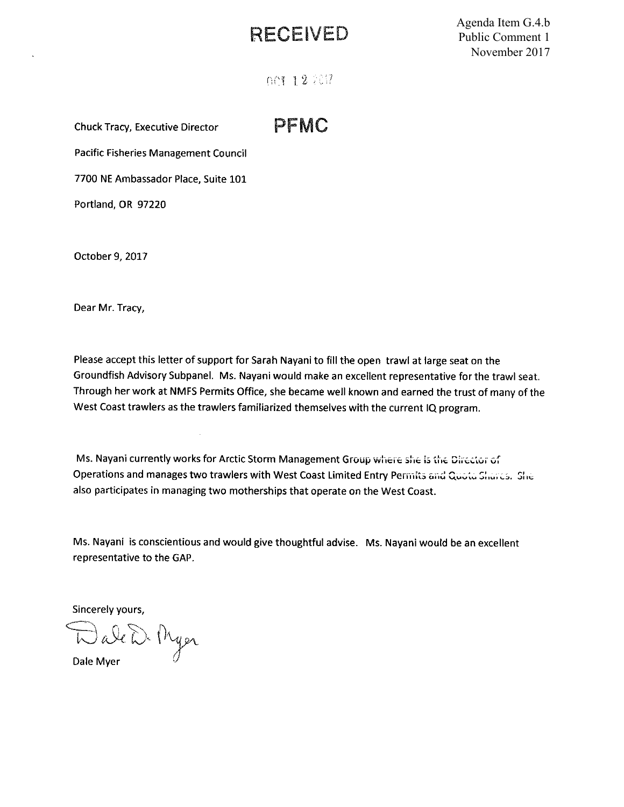## RECEIVED

Agenda Item G.4.b Public Comment 1 November 2017

**DCT 12 2017** 

**Chuck Tracy, Executive Director** 

PFMC

Pacific Fisheries Management Council

7700 NE Ambassador Place, Suite 101

Portland, OR 97220

October 9, 2017

Dear Mr. Tracy,

Please accept this letter of support for Sarah Nayani to fill the open trawl at large seat on the Groundfish Advisory Subpanel. Ms. Nayani would make an excellent representative for the trawl seat. Through her work at NMFS Permits Office, she became well known and earned the trust of many of the West Coast trawlers as the trawlers familiarized themselves with the current IQ program.

Ms. Nayani currently works for Arctic Storm Management Group where she is the Director of Operations and manages two trawlers with West Coast Limited Entry Permits and Quota Shares. She also participates in managing two motherships that operate on the West Coast.

Ms. Nayani is conscientious and would give thoughtful advise. Ms. Nayani would be an excellent representative to the GAP.

Sincerely yours,

DaleD. Myer

Dale Myer